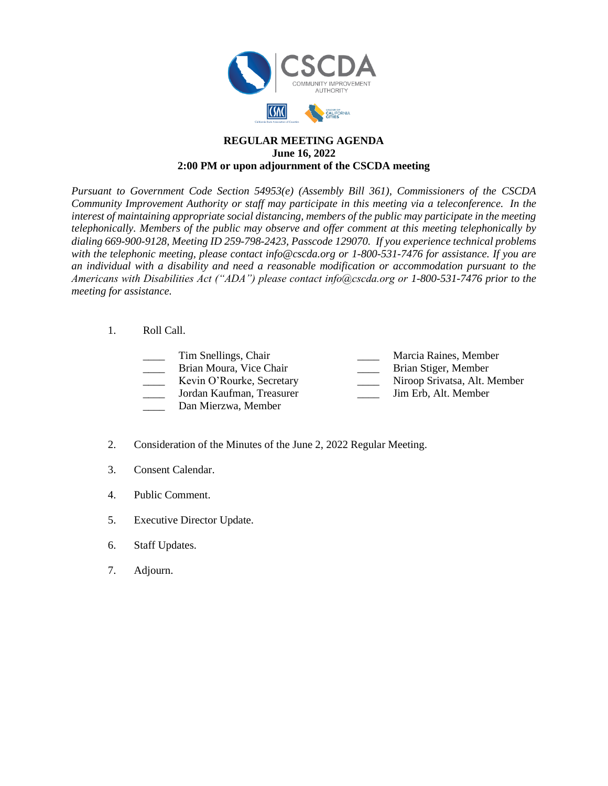

## **REGULAR MEETING AGENDA June 16, 2022 2:00 PM or upon adjournment of the CSCDA meeting**

*Pursuant to Government Code Section 54953(e) (Assembly Bill 361), Commissioners of the CSCDA Community Improvement Authority or staff may participate in this meeting via a teleconference. In the interest of maintaining appropriate social distancing, members of the public may participate in the meeting telephonically. Members of the public may observe and offer comment at this meeting telephonically by dialing 669-900-9128, Meeting ID 259-798-2423, Passcode 129070. If you experience technical problems with the telephonic meeting, please contact info@cscda.org or 1-800-531-7476 for assistance. If you are an individual with a disability and need a reasonable modification or accommodation pursuant to the Americans with Disabilities Act ("ADA") please contact info@cscda.org or 1-800-531-7476 prior to the meeting for assistance.*

## 1. Roll Call.

| Tim Snellings, Chair                                |  |
|-----------------------------------------------------|--|
| Brian Moura, Vice Chair                             |  |
| Kevin O'Rourke, Secretary                           |  |
| Jordan Kaufman, Treasurer                           |  |
| $\mathbf{D}$ $\mathbf{M}$ $\mathbf{M}$ $\mathbf{I}$ |  |

Marcia Raines, Member

Brian Stiger, Member

Niroop Srivatsa, Alt. Member

Jim Erb, Alt. Member

- Dan Mierzwa, Member
- 2. Consideration of the Minutes of the June 2, 2022 Regular Meeting.
- 3. Consent Calendar.
- 4. Public Comment.
- 5. Executive Director Update.
- 6. Staff Updates.
- 7. Adjourn.